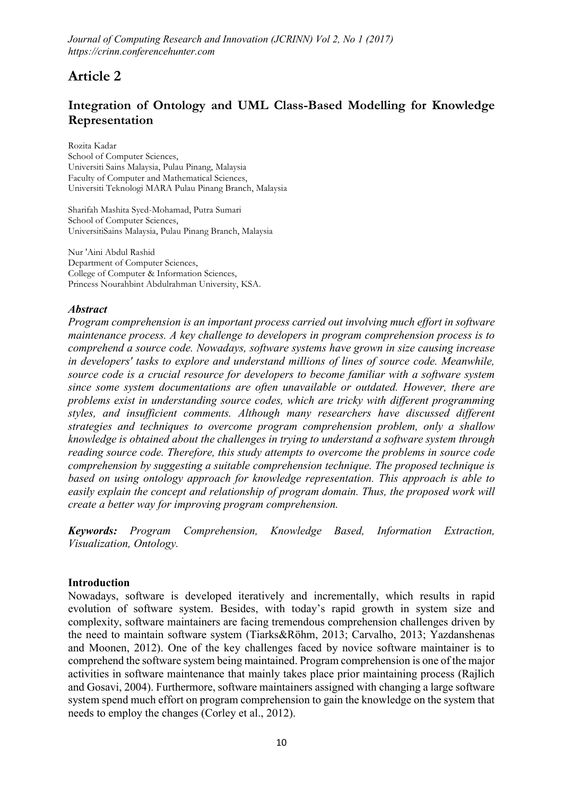# Article 2

## Integration of Ontology and UML Class-Based Modelling for Knowledge Representation

**Rozita Kadar School of Computer Sciences, Universiti Sains Malaysia, Pulau Pinang, Malaysia Faculty of Computer and Mathematical Sciences, Universiti Teknologi MARA Pulau Pinang Branch, Malaysia**

**Sharifah Mashita Syed-Mohamad, Putra Sumari School of Computer Sciences, UniversitiSains Malaysia, Pulau Pinang Branch, Malaysia**

**Nur 'Aini Abdul Rashid Department of Computer Sciences, College of Computer & Information Sciences, Princess Nourahbint Abdulrahman University, KSA.**

#### *Abstract*

*Program comprehension is an important process carried out involving much effort in software maintenance process. A key challenge to developers in program comprehension process is to comprehend a source code. Nowadays, software systems have grown in size causing increase in developers' tasks to explore and understand millions of lines of source code. Meanwhile, source code is a crucial resource for developers to become familiar with a software system since some system documentations are often unavailable or outdated. However, there are problems exist in understanding source codes, which are tricky with different programming styles, and insufficient comments. Although many researchers have discussed different strategies and techniques to overcome program comprehension problem, only a shallow knowledge is obtained about the challenges in trying to understand a software system through reading source code. Therefore, this study attempts to overcome the problems in source code comprehension by suggesting a suitable comprehension technique. The proposed technique is based on using ontology approach for knowledge representation. This approach is able to easily explain the concept and relationship of program domain. Thus, the proposed work will create a better way for improving program comprehension.* 

*Keywords: Program Comprehension, Knowledge Based, Information Extraction, Visualization, Ontology.*

#### Introduction

Nowadays, software is developed iteratively and incrementally, which results in rapid evolution of software system. Besides, with today's rapid growth in system size and complexity, software maintainers are facing tremendous comprehension challenges driven by the need to maintain software system (Tiarks&Röhm, 2013; Carvalho, 2013; Yazdanshenas and Moonen, 2012). One of the key challenges faced by novice software maintainer is to comprehend the software system being maintained. Program comprehension is one of the major activities in software maintenance that mainly takes place prior maintaining process (Rajlich and Gosavi, 2004). Furthermore, software maintainers assigned with changing a large software system spend much effort on program comprehension to gain the knowledge on the system that needs to employ the changes (Corley et al., 2012).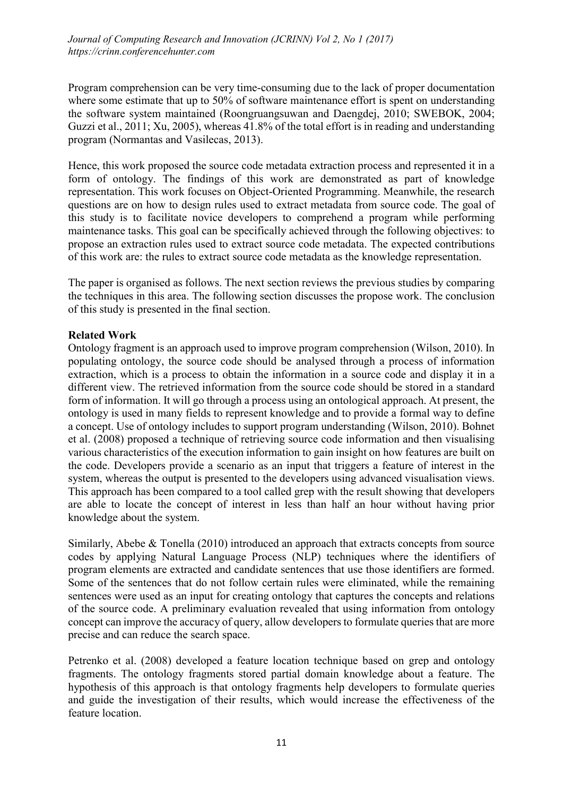Program comprehension can be very time-consuming due to the lack of proper documentation where some estimate that up to 50% of software maintenance effort is spent on understanding the software system maintained (Roongruangsuwan and Daengdej, 2010; SWEBOK, 2004; Guzzi et al., 2011; Xu, 2005), whereas 41.8% of the total effort is in reading and understanding program (Normantas and Vasilecas, 2013).

Hence, this work proposed the source code metadata extraction process and represented it in a form of ontology. The findings of this work are demonstrated as part of knowledge representation. This work focuses on Object-Oriented Programming. Meanwhile, the research questions are on how to design rules used to extract metadata from source code. The goal of this study is to facilitate novice developers to comprehend a program while performing maintenance tasks. This goal can be specifically achieved through the following objectives: to propose an extraction rules used to extract source code metadata. The expected contributions of this work are: the rules to extract source code metadata as the knowledge representation.

The paper is organised as follows. The next section reviews the previous studies by comparing the techniques in this area. The following section discusses the propose work. The conclusion of this study is presented in the final section.

#### Related Work

Ontology fragment is an approach used to improve program comprehension (Wilson, 2010). In populating ontology, the source code should be analysed through a process of information extraction, which is a process to obtain the information in a source code and display it in a different view. The retrieved information from the source code should be stored in a standard form of information. It will go through a process using an ontological approach. At present, the ontology is used in many fields to represent knowledge and to provide a formal way to define a concept. Use of ontology includes to support program understanding (Wilson, 2010). Bohnet et al. (2008) proposed a technique of retrieving source code information and then visualising various characteristics of the execution information to gain insight on how features are built on the code. Developers provide a scenario as an input that triggers a feature of interest in the system, whereas the output is presented to the developers using advanced visualisation views. This approach has been compared to a tool called grep with the result showing that developers are able to locate the concept of interest in less than half an hour without having prior knowledge about the system.

Similarly, Abebe & Tonella (2010) introduced an approach that extracts concepts from source codes by applying Natural Language Process (NLP) techniques where the identifiers of program elements are extracted and candidate sentences that use those identifiers are formed. Some of the sentences that do not follow certain rules were eliminated, while the remaining sentences were used as an input for creating ontology that captures the concepts and relations of the source code. A preliminary evaluation revealed that using information from ontology concept can improve the accuracy of query, allow developers to formulate queries that are more precise and can reduce the search space.

Petrenko et al. (2008) developed a feature location technique based on grep and ontology fragments. The ontology fragments stored partial domain knowledge about a feature. The hypothesis of this approach is that ontology fragments help developers to formulate queries and guide the investigation of their results, which would increase the effectiveness of the feature location.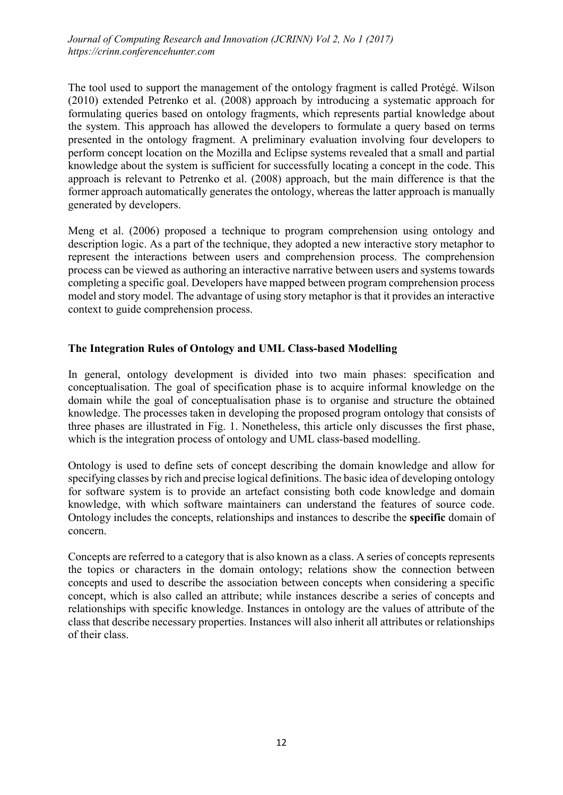The tool used to support the management of the ontology fragment is called Protégé. Wilson (2010) extended Petrenko et al. (2008) approach by introducing a systematic approach for formulating queries based on ontology fragments, which represents partial knowledge about the system. This approach has allowed the developers to formulate a query based on terms presented in the ontology fragment. A preliminary evaluation involving four developers to perform concept location on the Mozilla and Eclipse systems revealed that a small and partial knowledge about the system is sufficient for successfully locating a concept in the code. This approach is relevant to Petrenko et al. (2008) approach, but the main difference is that the former approach automatically generates the ontology, whereas the latter approach is manually generated by developers.

Meng et al. (2006) proposed a technique to program comprehension using ontology and description logic. As a part of the technique, they adopted a new interactive story metaphor to represent the interactions between users and comprehension process. The comprehension process can be viewed as authoring an interactive narrative between users and systems towards completing a specific goal. Developers have mapped between program comprehension process model and story model. The advantage of using story metaphor is that it provides an interactive context to guide comprehension process.

## The Integration Rules of Ontology and UML Class-based Modelling

In general, ontology development is divided into two main phases: specification and conceptualisation. The goal of specification phase is to acquire informal knowledge on the domain while the goal of conceptualisation phase is to organise and structure the obtained knowledge. The processes taken in developing the proposed program ontology that consists of three phases are illustrated in Fig. 1. Nonetheless, this article only discusses the first phase, which is the integration process of ontology and UML class-based modelling.

Ontology is used to define sets of concept describing the domain knowledge and allow for specifying classes by rich and precise logical definitions. The basic idea of developing ontology for software system is to provide an artefact consisting both code knowledge and domain knowledge, with which software maintainers can understand the features of source code. Ontology includes the concepts, relationships and instances to describe the specific domain of concern.

Concepts are referred to a category that is also known as a class. A series of concepts represents the topics or characters in the domain ontology; relations show the connection between concepts and used to describe the association between concepts when considering a specific concept, which is also called an attribute; while instances describe a series of concepts and relationships with specific knowledge. Instances in ontology are the values of attribute of the class that describe necessary properties. Instances will also inherit all attributes or relationships of their class.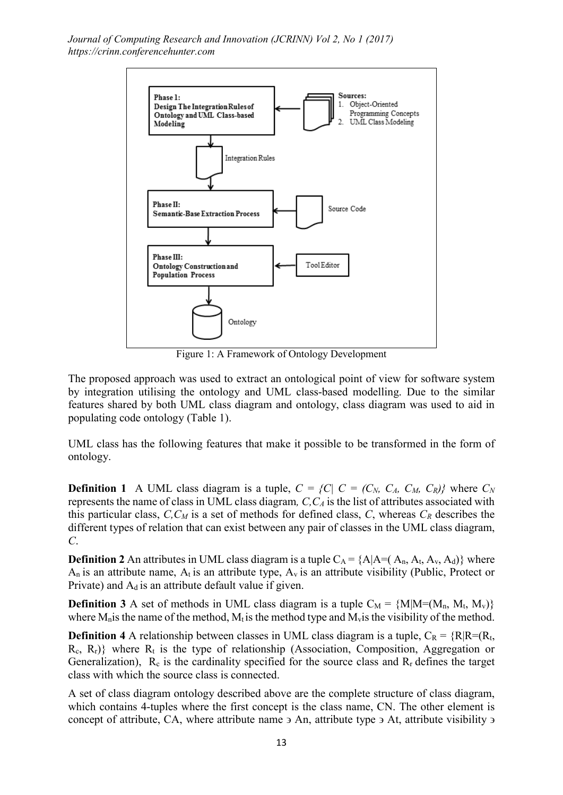

Figure 1: A Framework of Ontology Development

The proposed approach was used to extract an ontological point of view for software system by integration utilising the ontology and UML class-based modelling. Due to the similar features shared by both UML class diagram and ontology, class diagram was used to aid in populating code ontology (Table 1).

UML class has the following features that make it possible to be transformed in the form of ontology.

**Definition 1** A UML class diagram is a tuple,  $C = \{C | C = (C_N, C_A, C_M, C_R)\}$  where  $C_N$ represents the name of class in UML class diagram*, C,CA* is the list of attributes associated with this particular class,  $C$ ,  $C_M$  is a set of methods for defined class,  $C$ , whereas  $C_R$  describes the different types of relation that can exist between any pair of classes in the UML class diagram, *C*.

**Definition 2** An attributes in UML class diagram is a tuple  $C_A = \{A | A = (A_n, A_t, A_v, A_d)\}$  where  $A_n$  is an attribute name,  $A_t$  is an attribute type,  $A_v$  is an attribute visibility (Public, Protect or Private) and  $A_d$  is an attribute default value if given.

**Definition 3** A set of methods in UML class diagram is a tuple  $C_M = \{M | M = (M_n, M_t, M_v)\}\$ where  $M_n$  is the name of the method,  $M_t$  is the method type and  $M_v$  is the visibility of the method.

**Definition 4** A relationship between classes in UML class diagram is a tuple,  $C_R = \{R | R = (R_t,$  $R_c$ ,  $R_r$ )} where  $R_t$  is the type of relationship (Association, Composition, Aggregation or Generalization),  $R_c$  is the cardinality specified for the source class and  $R_r$  defines the target class with which the source class is connected.

A set of class diagram ontology described above are the complete structure of class diagram, which contains 4-tuples where the first concept is the class name, CN. The other element is concept of attribute, CA, where attribute name  $\overline{2}$  An, attribute type  $\overline{2}$  At, attribute visibility  $\overline{2}$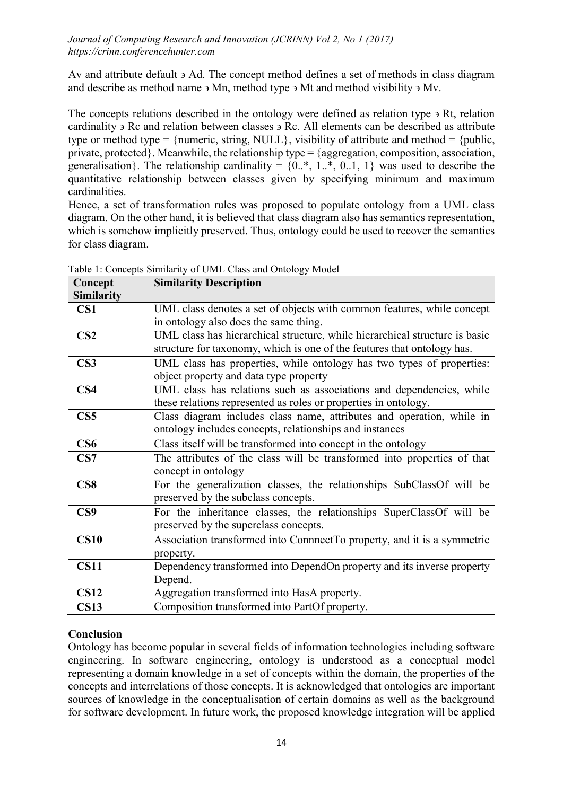Av and attribute default  $\theta$  Ad. The concept method defines a set of methods in class diagram and describe as method name ϶ Mn, method type ϶ Mt and method visibility ϶ Mv.

The concepts relations described in the ontology were defined as relation type  $\overline{P}$  Rt, relation cardinality ϶ Rc and relation between classes ϶ Rc. All elements can be described as attribute type or method type =  ${numberic, string, NULL}$ , visibility of attribute and method =  ${public,}$ private, protected}. Meanwhile, the relationship type = {aggregation, composition, association, generalisation}. The relationship cardinality =  $\{0, \times, 1, \times, 0, 1, 1\}$  was used to describe the quantitative relationship between classes given by specifying minimum and maximum cardinalities.

Hence, a set of transformation rules was proposed to populate ontology from a UML class diagram. On the other hand, it is believed that class diagram also has semantics representation, which is somehow implicitly preserved. Thus, ontology could be used to recover the semantics for class diagram.

| Concept           | <b>Similarity Description</b>                                               |
|-------------------|-----------------------------------------------------------------------------|
| <b>Similarity</b> |                                                                             |
| CS1               | UML class denotes a set of objects with common features, while concept      |
|                   | in ontology also does the same thing.                                       |
| CS <sub>2</sub>   | UML class has hierarchical structure, while hierarchical structure is basic |
|                   | structure for taxonomy, which is one of the features that ontology has.     |
| CS <sub>3</sub>   | UML class has properties, while ontology has two types of properties:       |
|                   | object property and data type property                                      |
| CS <sub>4</sub>   | UML class has relations such as associations and dependencies, while        |
|                   | these relations represented as roles or properties in ontology.             |
| CS <sub>5</sub>   | Class diagram includes class name, attributes and operation, while in       |
|                   | ontology includes concepts, relationships and instances                     |
| CS6               | Class itself will be transformed into concept in the ontology               |
| CS7               | The attributes of the class will be transformed into properties of that     |
|                   | concept in ontology                                                         |
| CS8               | For the generalization classes, the relationships SubClassOf will be        |
|                   | preserved by the subclass concepts.                                         |
| CS9               | For the inheritance classes, the relationships SuperClassOf will be         |
|                   | preserved by the superclass concepts.                                       |
| CS10              | Association transformed into ConnnectTo property, and it is a symmetric     |
|                   | property.                                                                   |
| <b>CS11</b>       | Dependency transformed into DependOn property and its inverse property      |
|                   | Depend.                                                                     |
| <b>CS12</b>       | Aggregation transformed into HasA property.                                 |
| <b>CS13</b>       | Composition transformed into PartOf property.                               |
|                   |                                                                             |

Table 1: Concepts Similarity of UML Class and Ontology Model

## Conclusion

Ontology has become popular in several fields of information technologies including software engineering. In software engineering, ontology is understood as a conceptual model representing a domain knowledge in a set of concepts within the domain, the properties of the concepts and interrelations of those concepts. It is acknowledged that ontologies are important sources of knowledge in the conceptualisation of certain domains as well as the background for software development. In future work, the proposed knowledge integration will be applied